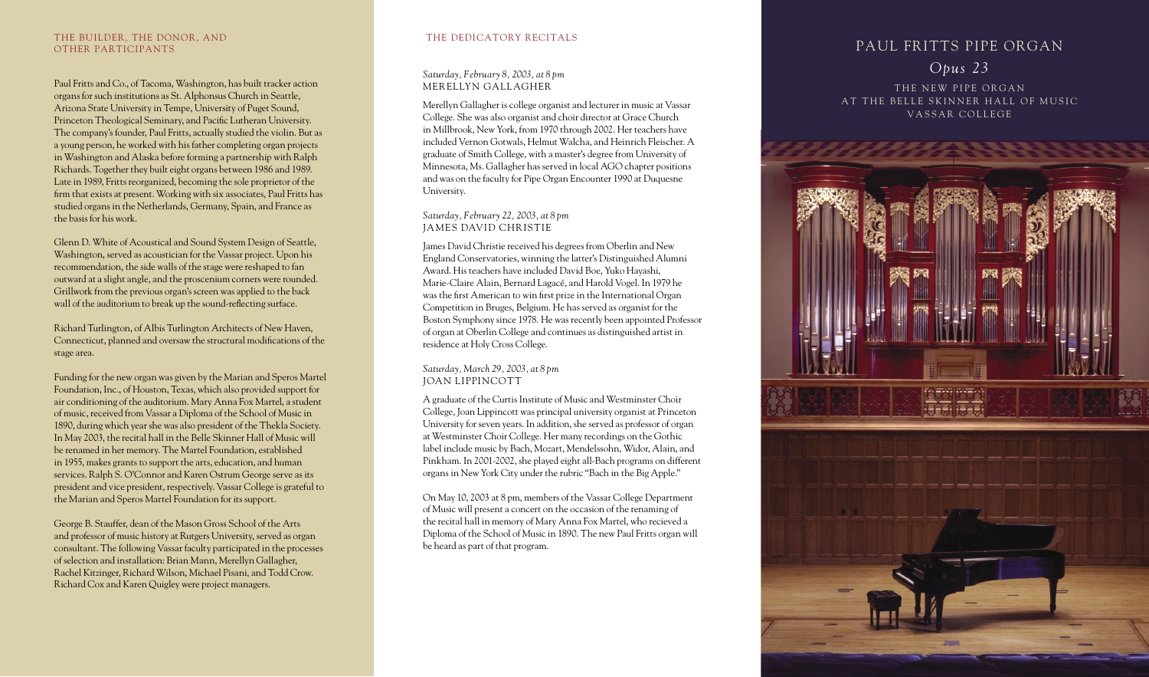# PAUL FRITTS PIPE ORGAN *Opus 23*

THE NEW PIPE ORGAN AT THE BELLE SKINNER HALL OF MUSIC VASSAR COLLEGE



## *Saturday, February 8, 2003, at 8 pm* MERELLYN GALLAGHER

# THE DEDICATORY RECITALS

Merellyn Gallagher is college organist and lecturer in music at Vassar College. She was also organist and choir director at Grace Church in Millbrook, New York, from 1970 through 2002. Her teachers have included Vernon Gotwals, Helmut Walcha, and Heinrich Fleischer. A graduate of Smith College, with a master's degree from University of Minnesota, Ms. Gallagher has served in local AGO chapter positions and was on the faculty for Pipe Organ Encounter 1990 at Duquesne University.

## *Saturday, February 22, 2003, at 8 pm*  JAMES DAVID CHRISTIE

James David Christie received his degrees from Oberlin and New England Conservatories, winning the latter's Distinguished Alumni Award. His teachers have included David Boe, Yuko Hayashi, Marie-Claire Alain, Bernard Lagacé, and Harold Vogel. In 1979 he was the first American to win first prize in the International Organ Competition in Bruges, Belgium. He has served as organist for the Boston Symphony since 1978. He was recently been appointed Professor of organ at Oberlin College and continues as distinguished artist in residence at Holy Cross College.

## *Saturday, March 29, 2003, at 8 pm*  JOAN LIPPINCOTT

A graduate of the Curtis Institute of Music and Westminster Choir College, Joan Lippincott was principal university organist at Princeton University for seven years. In addition, she served as professor of organ at Westminster Choir College. Her many recordings on the Gothic label include music by Bach, Mozart, Mendelssohn, Widor, Alain, and Pinkham. In 2001-2002, she played eight all-Bach programs on different organs in New York City under the rubric "Bach in the Big Apple."

On May 10, 2003 at 8 pm, members of the Vassar College Department of Music will present a concert on the occasion of the renaming of the recital hall in memory of Mary Anna Fox Martel, who recieved a Diploma of the School of Music in 1890. The new Paul Fritts organ will be heard as part of that program.

### THE BUILDER, THE DONOR, AND OTHER PARTICIPANTS

Paul Fritts and Co., of Tacoma, Washington, has built tracker action organs for such institutions as St. Alphonsus Church in Seattle, Arizona State University in Tempe, University of Puget Sound, Princeton Theological Seminary, and Pacific Lutheran University. The company's founder, Paul Fritts, actually studied the violin. But as a young person, he worked with his father completing organ projects in Washington and Alaska before forming a partnership with Ralph Richards. Together they built eight organs between 1986 and 1989. Late in 1989, Fritts reorganized, becoming the sole proprietor of the firm that exists at present. Working with six associates, Paul Fritts has studied organs in the Netherlands, Germany, Spain, and France as the basis for his work.

Glenn D. White of Acoustical and Sound System Design of Seattle, Washington, served as acoustician for the Vassar project. Upon his recommendation, the side walls of the stage were reshaped to fan outward at a slight angle, and the proscenium corners were rounded. Grillwork from the previous organ's screen was applied to the back wall of the auditorium to break up the sound-reflecting surface.

Richard Turlington, of Albis Turlington Architects of New Haven, Connecticut, planned and oversaw the structural modifications of the stage area.

Funding for the new organ was given by the Marian and Speros Martel Foundation, Inc., of Houston, Texas, which also provided support for air conditioning of the auditorium. Mary Anna Fox Martel, a student of music, received from Vassar a Diploma of the School of Music in 1890, during which year she was also president of the Thekla Society. In May 2003, the recital hall in the Belle Skinner Hall of Music will be renamed in her memory. The Martel Foundation, established in 1955, makes grants to support the arts, education, and human services. Ralph S. O'Connor and Karen Ostrum George serve as its president and vice president, respectively. Vassar College is grateful to the Marian and Speros Martel Foundation for its support.

George B. Stauffer, dean of the Mason Gross School of the Arts and professor of music history at Rutgers University, served as organ consultant. The following Vassar faculty participated in the processes of selection and installation: Brian Mann, Merellyn Gallagher, Rachel Kitzinger, Richard Wilson, Michael Pisani, and Todd Crow. Richard Cox and Karen Quigley were project managers.